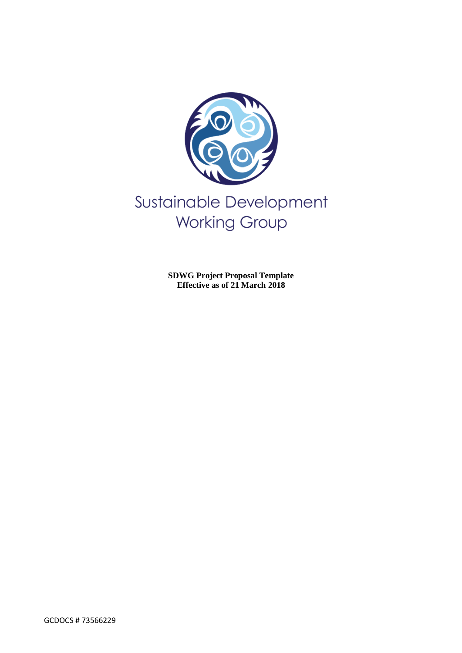

# **Working Group**

**SDWG Project Proposal Template Effective as of 21 March 2018**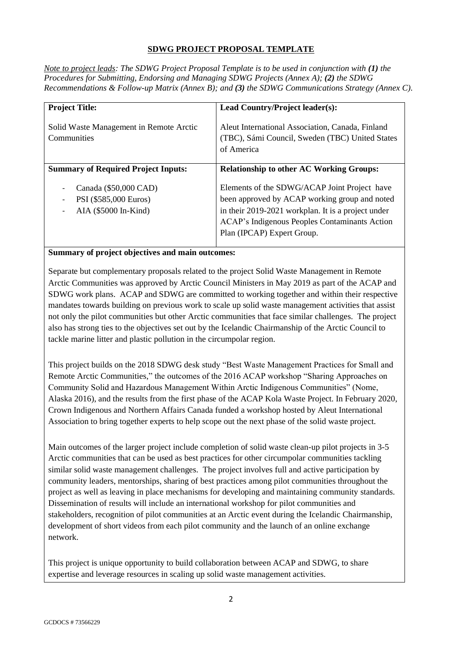# **SDWG PROJECT PROPOSAL TEMPLATE**

*Note to project leads: The SDWG Project Proposal Template is to be used in conjunction with (1) the Procedures for Submitting, Endorsing and Managing SDWG Projects (Annex A); (2) the SDWG Recommendations & Follow-up Matrix (Annex B); and (3) the SDWG Communications Strategy (Annex C).*

| <b>Project Title:</b>                                                       | Lead Country/Project leader(s):                                                                                                                                                                                                           |
|-----------------------------------------------------------------------------|-------------------------------------------------------------------------------------------------------------------------------------------------------------------------------------------------------------------------------------------|
| Solid Waste Management in Remote Arctic<br>Communities                      | Aleut International Association, Canada, Finland<br>(TBC), Sámi Council, Sweden (TBC) United States<br>of America                                                                                                                         |
| <b>Summary of Required Project Inputs:</b>                                  | <b>Relationship to other AC Working Groups:</b>                                                                                                                                                                                           |
| Canada (\$50,000 CAD)<br>-<br>PSI (\$585,000 Euros)<br>AIA (\$5000 In-Kind) | Elements of the SDWG/ACAP Joint Project have<br>been approved by ACAP working group and noted<br>in their 2019-2021 workplan. It is a project under<br><b>ACAP's Indigenous Peoples Contaminants Action</b><br>Plan (IPCAP) Expert Group. |

### **Summary of project objectives and main outcomes:**

Separate but complementary proposals related to the project Solid Waste Management in Remote Arctic Communities was approved by Arctic Council Ministers in May 2019 as part of the ACAP and SDWG work plans. ACAP and SDWG are committed to working together and within their respective mandates towards building on previous work to scale up solid waste management activities that assist not only the pilot communities but other Arctic communities that face similar challenges. The project also has strong ties to the objectives set out by the Icelandic Chairmanship of the Arctic Council to tackle marine litter and plastic pollution in the circumpolar region.

This project builds on the 2018 SDWG desk study "Best Waste Management Practices for Small and Remote Arctic Communities," the outcomes of the 2016 ACAP workshop "Sharing Approaches on Community Solid and Hazardous Management Within Arctic Indigenous Communities" (Nome, Alaska 2016), and the results from the first phase of the ACAP Kola Waste Project. In February 2020, Crown Indigenous and Northern Affairs Canada funded a workshop hosted by Aleut International Association to bring together experts to help scope out the next phase of the solid waste project.

Main outcomes of the larger project include completion of solid waste clean-up pilot projects in 3-5 Arctic communities that can be used as best practices for other circumpolar communities tackling similar solid waste management challenges. The project involves full and active participation by community leaders, mentorships, sharing of best practices among pilot communities throughout the project as well as leaving in place mechanisms for developing and maintaining community standards. Dissemination of results will include an international workshop for pilot communities and stakeholders, recognition of pilot communities at an Arctic event during the Icelandic Chairmanship, development of short videos from each pilot community and the launch of an online exchange network.

This project is unique opportunity to build collaboration between ACAP and SDWG, to share expertise and leverage resources in scaling up solid waste management activities.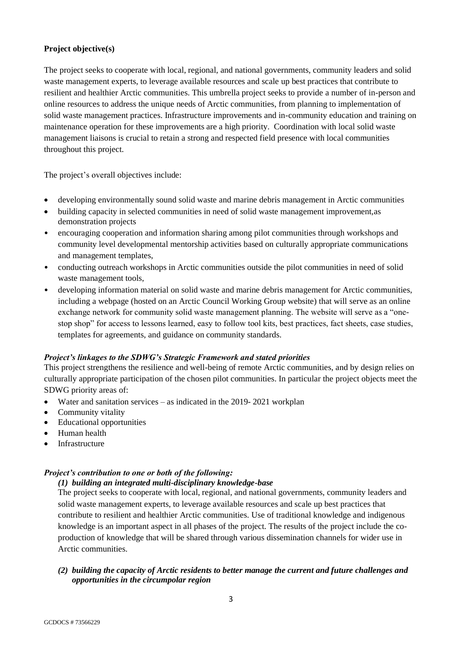# **Project objective(s)**

The project seeks to cooperate with local, regional, and national governments, community leaders and solid waste management experts, to leverage available resources and scale up best practices that contribute to resilient and healthier Arctic communities. This umbrella project seeks to provide a number of in-person and online resources to address the unique needs of Arctic communities, from planning to implementation of solid waste management practices. Infrastructure improvements and in-community education and training on maintenance operation for these improvements are a high priority. Coordination with local solid waste management liaisons is crucial to retain a strong and respected field presence with local communities throughout this project.

The project's overall objectives include:

- developing environmentally sound solid waste and marine debris management in Arctic communities
- building capacity in selected communities in need of solid waste management improvement, as demonstration projects
- encouraging cooperation and information sharing among pilot communities through workshops and community level developmental mentorship activities based on culturally appropriate communications and management templates,
- conducting outreach workshops in Arctic communities outside the pilot communities in need of solid waste management tools,
- developing information material on solid waste and marine debris management for Arctic communities, including a webpage (hosted on an Arctic Council Working Group website) that will serve as an online exchange network for community solid waste management planning. The website will serve as a "onestop shop" for access to lessons learned, easy to follow tool kits, best practices, fact sheets, case studies, templates for agreements, and guidance on community standards.

# *Project's linkages to the SDWG's Strategic Framework and stated priorities*

This project strengthens the resilience and well-being of remote Arctic communities, and by design relies on culturally appropriate participation of the chosen pilot communities. In particular the project objects meet the SDWG priority areas of:

- Water and sanitation services as indicated in the 2019-2021 workplan
- Community vitality
- Educational opportunities
- Human health
- Infrastructure

#### *Project's contribution to one or both of the following:*

#### *(1) building an integrated multi-disciplinary knowledge-base*

The project seeks to cooperate with local, regional, and national governments, community leaders and solid waste management experts, to leverage available resources and scale up best practices that contribute to resilient and healthier Arctic communities. Use of traditional knowledge and indigenous knowledge is an important aspect in all phases of the project. The results of the project include the coproduction of knowledge that will be shared through various dissemination channels for wider use in Arctic communities.

# *(2) building the capacity of Arctic residents to better manage the current and future challenges and opportunities in the circumpolar region*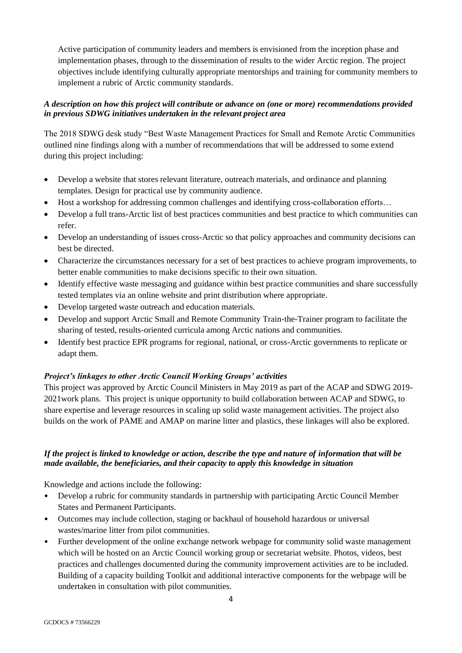Active participation of community leaders and members is envisioned from the inception phase and implementation phases, through to the dissemination of results to the wider Arctic region. The project objectives include identifying culturally appropriate mentorships and training for community members to implement a rubric of Arctic community standards.

# *A description on how this project will contribute or advance on (one or more) recommendations provided in previous SDWG initiatives undertaken in the relevant project area*

The 2018 SDWG desk study "Best Waste Management Practices for Small and Remote Arctic Communities outlined nine findings along with a number of recommendations that will be addressed to some extend during this project including:

- Develop a website that stores relevant literature, outreach materials, and ordinance and planning templates. Design for practical use by community audience.
- Host a workshop for addressing common challenges and identifying cross-collaboration efforts...
- Develop a full trans-Arctic list of best practices communities and best practice to which communities can refer.
- Develop an understanding of issues cross-Arctic so that policy approaches and community decisions can best be directed.
- Characterize the circumstances necessary for a set of best practices to achieve program improvements, to better enable communities to make decisions specific to their own situation.
- Identify effective waste messaging and guidance within best practice communities and share successfully tested templates via an online website and print distribution where appropriate.
- Develop targeted waste outreach and education materials.
- Develop and support Arctic Small and Remote Community Train-the-Trainer program to facilitate the sharing of tested, results-oriented curricula among Arctic nations and communities.
- Identify best practice EPR programs for regional, national, or cross-Arctic governments to replicate or adapt them.

# *Project's linkages to other Arctic Council Working Groups' activities*

This project was approved by Arctic Council Ministers in May 2019 as part of the ACAP and SDWG 2019- 2021work plans. This project is unique opportunity to build collaboration between ACAP and SDWG, to share expertise and leverage resources in scaling up solid waste management activities. The project also builds on the work of PAME and AMAP on marine litter and plastics, these linkages will also be explored.

# *If the project is linked to knowledge or action, describe the type and nature of information that will be made available, the beneficiaries, and their capacity to apply this knowledge in situation*

Knowledge and actions include the following:

- Develop a rubric for community standards in partnership with participating Arctic Council Member States and Permanent Participants.
- Outcomes may include collection, staging or backhaul of household hazardous or universal wastes/marine litter from pilot communities.
- Further development of the online exchange network webpage for community solid waste management which will be hosted on an Arctic Council working group or secretariat website. Photos, videos, best practices and challenges documented during the community improvement activities are to be included. Building of a capacity building Toolkit and additional interactive components for the webpage will be undertaken in consultation with pilot communities.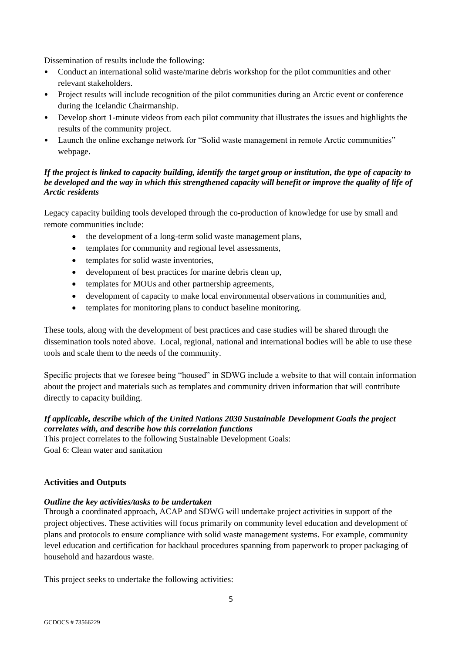Dissemination of results include the following:

- Conduct an international solid waste/marine debris workshop for the pilot communities and other relevant stakeholders.
- Project results will include recognition of the pilot communities during an Arctic event or conference during the Icelandic Chairmanship.
- Develop short 1-minute videos from each pilot community that illustrates the issues and highlights the results of the community project.
- Launch the online exchange network for "Solid waste management in remote Arctic communities" webpage.

#### *If the project is linked to capacity building, identify the target group or institution, the type of capacity to be developed and the way in which this strengthened capacity will benefit or improve the quality of life of Arctic residents*

Legacy capacity building tools developed through the co-production of knowledge for use by small and remote communities include:

- the development of a long-term solid waste management plans,
- templates for community and regional level assessments,
- templates for solid waste inventories.
- development of best practices for marine debris clean up,
- templates for MOUs and other partnership agreements,
- development of capacity to make local environmental observations in communities and,
- templates for monitoring plans to conduct baseline monitoring.

These tools, along with the development of best practices and case studies will be shared through the dissemination tools noted above. Local, regional, national and international bodies will be able to use these tools and scale them to the needs of the community.

Specific projects that we foresee being "housed" in SDWG include a website to that will contain information about the project and materials such as templates and community driven information that will contribute directly to capacity building.

### *If applicable, describe which of the United Nations 2030 Sustainable Development Goals the project correlates with, and describe how this correlation functions*

This project correlates to the following Sustainable Development Goals: Goal 6: Clean water and sanitation

#### **Activities and Outputs**

#### *Outline the key activities/tasks to be undertaken*

Through a coordinated approach, ACAP and SDWG will undertake project activities in support of the project objectives. These activities will focus primarily on community level education and development of plans and protocols to ensure compliance with solid waste management systems. For example, community level education and certification for backhaul procedures spanning from paperwork to proper packaging of household and hazardous waste.

This project seeks to undertake the following activities: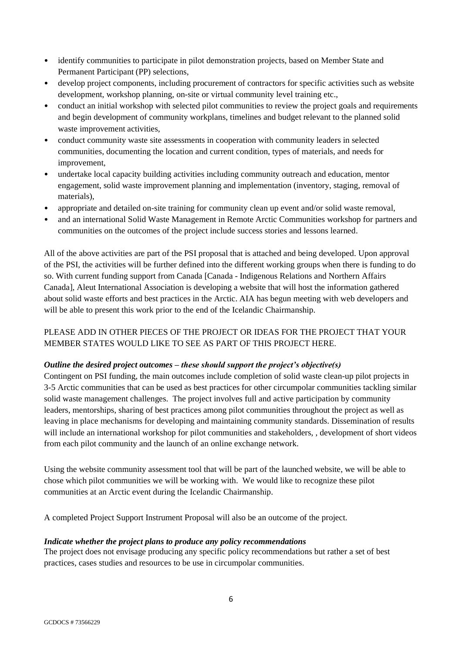- identify communities to participate in pilot demonstration projects, based on Member State and Permanent Participant (PP) selections,
- develop project components, including procurement of contractors for specific activities such as website development, workshop planning, on-site or virtual community level training etc.,
- conduct an initial workshop with selected pilot communities to review the project goals and requirements and begin development of community workplans, timelines and budget relevant to the planned solid waste improvement activities,
- conduct community waste site assessments in cooperation with community leaders in selected communities, documenting the location and current condition, types of materials, and needs for improvement,
- undertake local capacity building activities including community outreach and education, mentor engagement, solid waste improvement planning and implementation (inventory, staging, removal of materials),
- appropriate and detailed on-site training for community clean up event and/or solid waste removal,
- and an international Solid Waste Management in Remote Arctic Communities workshop for partners and communities on the outcomes of the project include success stories and lessons learned.

All of the above activities are part of the PSI proposal that is attached and being developed. Upon approval of the PSI, the activities will be further defined into the different working groups when there is funding to do so. With current funding support from Canada [Canada - Indigenous Relations and Northern Affairs Canada], Aleut International Association is developing a website that will host the information gathered about solid waste efforts and best practices in the Arctic. AIA has begun meeting with web developers and will be able to present this work prior to the end of the Icelandic Chairmanship.

# PLEASE ADD IN OTHER PIECES OF THE PROJECT OR IDEAS FOR THE PROJECT THAT YOUR MEMBER STATES WOULD LIKE TO SEE AS PART OF THIS PROJECT HERE.

# *Outline the desired project outcomes – these should support the project's objective(s)*

Contingent on PSI funding, the main outcomes include completion of solid waste clean-up pilot projects in 3-5 Arctic communities that can be used as best practices for other circumpolar communities tackling similar solid waste management challenges. The project involves full and active participation by community leaders, mentorships, sharing of best practices among pilot communities throughout the project as well as leaving in place mechanisms for developing and maintaining community standards. Dissemination of results will include an international workshop for pilot communities and stakeholders, , development of short videos from each pilot community and the launch of an online exchange network.

Using the website community assessment tool that will be part of the launched website, we will be able to chose which pilot communities we will be working with. We would like to recognize these pilot communities at an Arctic event during the Icelandic Chairmanship.

A completed Project Support Instrument Proposal will also be an outcome of the project.

#### *Indicate whether the project plans to produce any policy recommendations*

The project does not envisage producing any specific policy recommendations but rather a set of best practices, cases studies and resources to be use in circumpolar communities.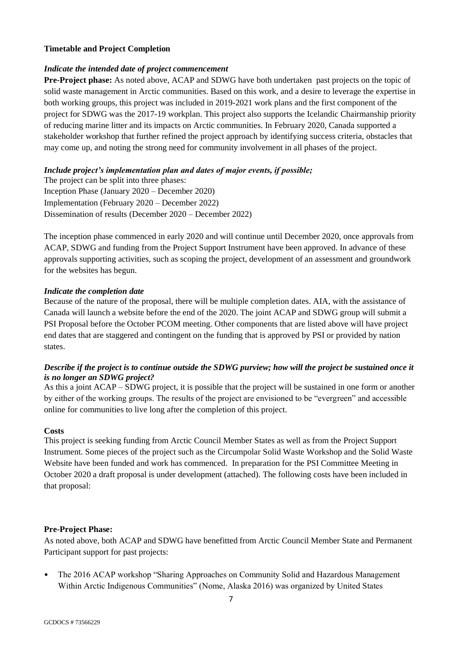### **Timetable and Project Completion**

#### *Indicate the intended date of project commencement*

**Pre-Project phase:** As noted above, ACAP and SDWG have both undertaken past projects on the topic of solid waste management in Arctic communities. Based on this work, and a desire to leverage the expertise in both working groups, this project was included in 2019-2021 work plans and the first component of the project for SDWG was the 2017-19 workplan. This project also supports the Icelandic Chairmanship priority of reducing marine litter and its impacts on Arctic communities. In February 2020, Canada supported a stakeholder workshop that further refined the project approach by identifying success criteria, obstacles that may come up, and noting the strong need for community involvement in all phases of the project.

### *Include project's implementation plan and dates of major events, if possible;*

The project can be split into three phases: Inception Phase (January 2020 – December 2020) Implementation (February 2020 – December 2022) Dissemination of results (December 2020 – December 2022)

The inception phase commenced in early 2020 and will continue until December 2020, once approvals from ACAP, SDWG and funding from the Project Support Instrument have been approved. In advance of these approvals supporting activities, such as scoping the project, development of an assessment and groundwork for the websites has begun.

### *Indicate the completion date*

Because of the nature of the proposal, there will be multiple completion dates. AIA, with the assistance of Canada will launch a website before the end of the 2020. The joint ACAP and SDWG group will submit a PSI Proposal before the October PCOM meeting. Other components that are listed above will have project end dates that are staggered and contingent on the funding that is approved by PSI or provided by nation states.

# *Describe if the project is to continue outside the SDWG purview; how will the project be sustained once it is no longer an SDWG project?*

As this a joint ACAP – SDWG project, it is possible that the project will be sustained in one form or another by either of the working groups. The results of the project are envisioned to be "evergreen" and accessible online for communities to live long after the completion of this project.

#### **Costs**

This project is seeking funding from Arctic Council Member States as well as from the Project Support Instrument. Some pieces of the project such as the Circumpolar Solid Waste Workshop and the Solid Waste Website have been funded and work has commenced. In preparation for the PSI Committee Meeting in October 2020 a draft proposal is under development (attached). The following costs have been included in that proposal:

#### **Pre-Project Phase:**

As noted above, both ACAP and SDWG have benefitted from Arctic Council Member State and Permanent Participant support for past projects:

• The 2016 ACAP workshop "Sharing Approaches on Community Solid and Hazardous Management Within Arctic Indigenous Communities" (Nome, Alaska 2016) was organized by United States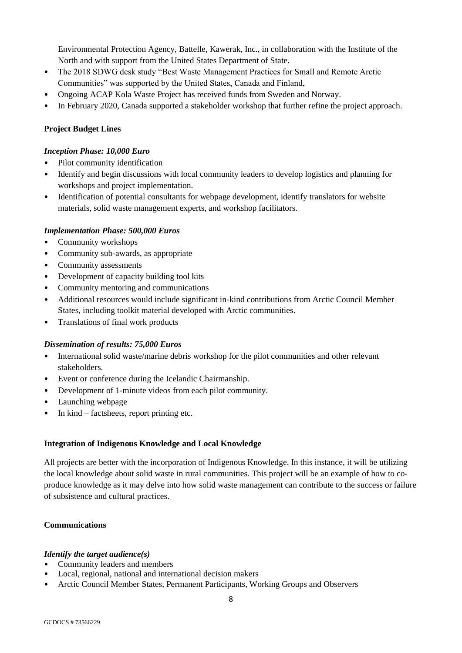Environmental Protection Agency, Battelle, Kawerak, Inc., in collaboration with the Institute of the North and with support from the United States Department of State.

- The 2018 SDWG desk study "Best Waste Management Practices for Small and Remote Arctic Communities" was supported by the United States, Canada and Finland,
- Ongoing ACAP Kola Waste Project has received funds from Sweden and Norway.
- In February 2020, Canada supported a stakeholder workshop that further refine the project approach.

# **Project Budget Lines**

### *Inception Phase: 10,000 Euro*

- Pilot community identification
- Identify and begin discussions with local community leaders to develop logistics and planning for workshops and project implementation.
- Identification of potential consultants for webpage development, identify translators for website materials, solid waste management experts, and workshop facilitators.

### *Implementation Phase: 500,000 Euros*

- Community workshops
- Community sub-awards, as appropriate
- Community assessments
- Development of capacity building tool kits
- Community mentoring and communications
- Additional resources would include significant in-kind contributions from Arctic Council Member States, including toolkit material developed with Arctic communities.
- Translations of final work products

# *Dissemination of results: 75,000 Euros*

- International solid waste/marine debris workshop for the pilot communities and other relevant stakeholders.
- Event or conference during the Icelandic Chairmanship.
- Development of 1-minute videos from each pilot community.
- Launching webpage
- In kind factsheets, report printing etc.

# **Integration of Indigenous Knowledge and Local Knowledge**

All projects are better with the incorporation of Indigenous Knowledge. In this instance, it will be utilizing the local knowledge about solid waste in rural communities. This project will be an example of how to coproduce knowledge as it may delve into how solid waste management can contribute to the success or failure of subsistence and cultural practices.

# **Communications**

# *Identify the target audience(s)*

- Community leaders and members
- Local, regional, national and international decision makers
- Arctic Council Member States, Permanent Participants, Working Groups and Observers